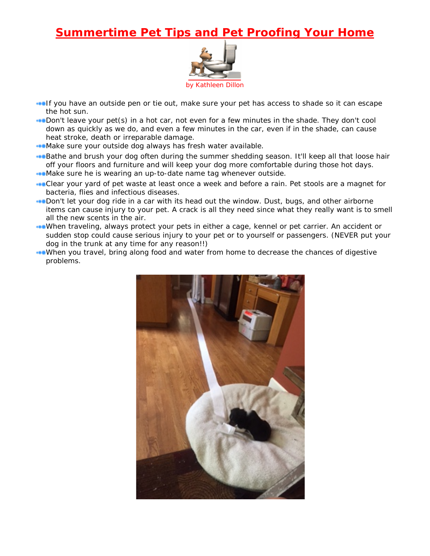## **Summertime Pet Tips and Pet Proofing Your Home**



**If you have an outside pen or tie out, make sure your pet has access to shade so it can escape** the hot sun.

Don't leave your pet(s) in a hot car, not even for a few minutes in the shade. They don't cool down as quickly as we do, and even a few minutes in the car, even if in the shade, can cause heat stroke, death or irreparable damage.

Make sure your outside dog always has fresh water available.

**Bathe and brush your dog often during the summer shedding season. It'll keep all that loose hair** off your floors and furniture and will keep your dog more comfortable during those hot days. Make sure he is wearing an up-to-date name tag whenever outside.

- **Clear your yard of pet waste at least once a week and before a rain. Pet stools are a magnet for** bacteria, flies and infectious diseases.
- **Don't let your dog ride in a car with its head out the window. Dust, bugs, and other airborne** items can cause injury to your pet. A crack is all they need since what they really want is to smell all the new scents in the air.
- When traveling, always protect your pets in either a cage, kennel or pet carrier. An accident or sudden stop could cause serious injury to your pet or to yourself or passengers. (NEVER put your dog in the trunk at any time for any reason!!)
- When you travel, bring along food and water from home to decrease the chances of digestive problems.